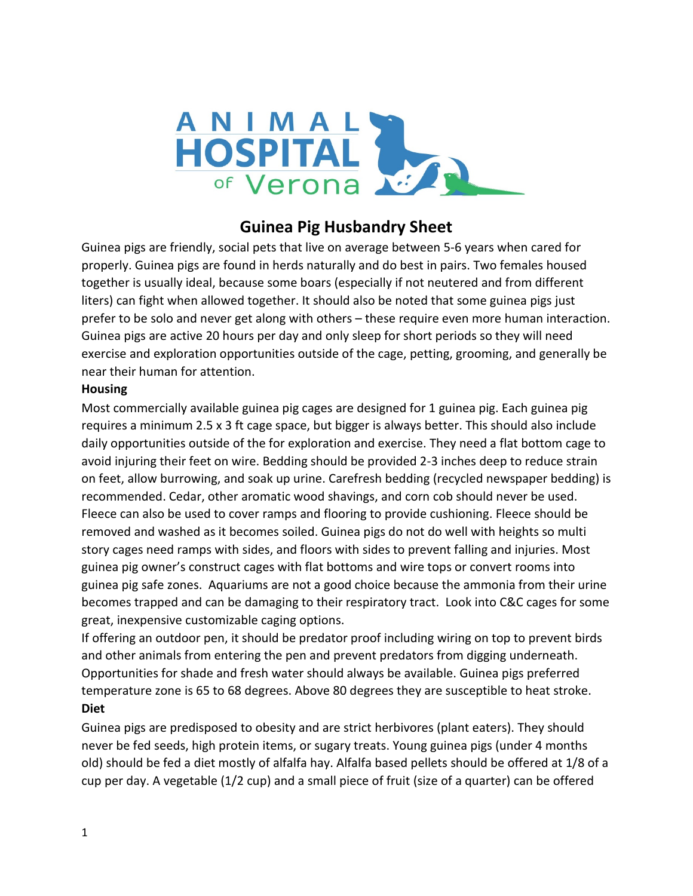

## **Guinea Pig Husbandry Sheet**

Guinea pigs are friendly, social pets that live on average between 5-6 years when cared for properly. Guinea pigs are found in herds naturally and do best in pairs. Two females housed together is usually ideal, because some boars (especially if not neutered and from different liters) can fight when allowed together. It should also be noted that some guinea pigs just prefer to be solo and never get along with others – these require even more human interaction. Guinea pigs are active 20 hours per day and only sleep for short periods so they will need exercise and exploration opportunities outside of the cage, petting, grooming, and generally be near their human for attention.

## **Housing**

Most commercially available guinea pig cages are designed for 1 guinea pig. Each guinea pig requires a minimum 2.5 x 3 ft cage space, but bigger is always better. This should also include daily opportunities outside of the for exploration and exercise. They need a flat bottom cage to avoid injuring their feet on wire. Bedding should be provided 2-3 inches deep to reduce strain on feet, allow burrowing, and soak up urine. Carefresh bedding (recycled newspaper bedding) is recommended. Cedar, other aromatic wood shavings, and corn cob should never be used. Fleece can also be used to cover ramps and flooring to provide cushioning. Fleece should be removed and washed as it becomes soiled. Guinea pigs do not do well with heights so multi story cages need ramps with sides, and floors with sides to prevent falling and injuries. Most guinea pig owner's construct cages with flat bottoms and wire tops or convert rooms into guinea pig safe zones. Aquariums are not a good choice because the ammonia from their urine becomes trapped and can be damaging to their respiratory tract. Look into C&C cages for some great, inexpensive customizable caging options.

If offering an outdoor pen, it should be predator proof including wiring on top to prevent birds and other animals from entering the pen and prevent predators from digging underneath. Opportunities for shade and fresh water should always be available. Guinea pigs preferred temperature zone is 65 to 68 degrees. Above 80 degrees they are susceptible to heat stroke. **Diet**

Guinea pigs are predisposed to obesity and are strict herbivores (plant eaters). They should never be fed seeds, high protein items, or sugary treats. Young guinea pigs (under 4 months old) should be fed a diet mostly of alfalfa hay. Alfalfa based pellets should be offered at 1/8 of a cup per day. A vegetable (1/2 cup) and a small piece of fruit (size of a quarter) can be offered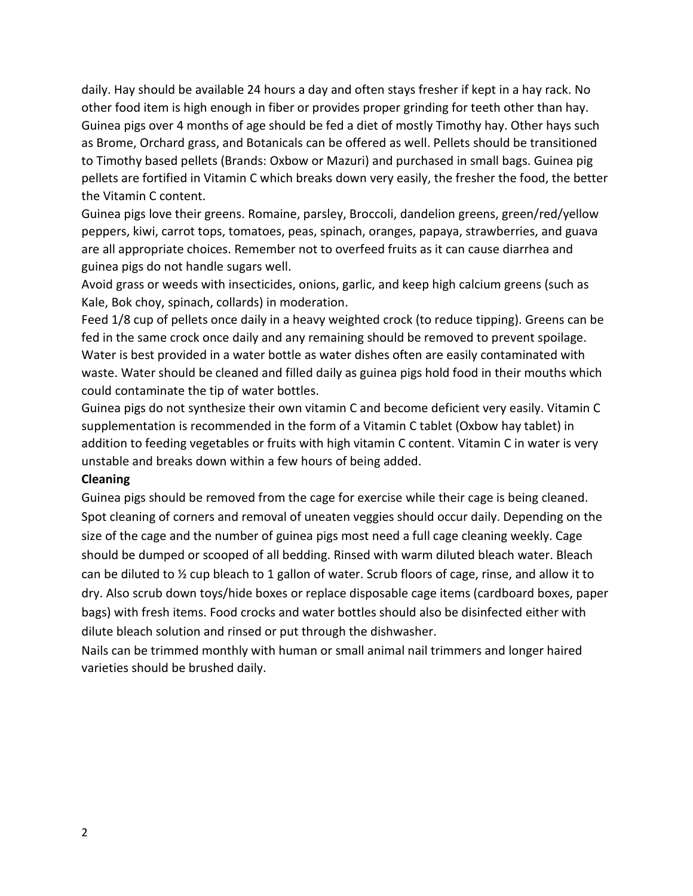daily. Hay should be available 24 hours a day and often stays fresher if kept in a hay rack. No other food item is high enough in fiber or provides proper grinding for teeth other than hay. Guinea pigs over 4 months of age should be fed a diet of mostly Timothy hay. Other hays such as Brome, Orchard grass, and Botanicals can be offered as well. Pellets should be transitioned to Timothy based pellets (Brands: Oxbow or Mazuri) and purchased in small bags. Guinea pig pellets are fortified in Vitamin C which breaks down very easily, the fresher the food, the better the Vitamin C content.

Guinea pigs love their greens. Romaine, parsley, Broccoli, dandelion greens, green/red/yellow peppers, kiwi, carrot tops, tomatoes, peas, spinach, oranges, papaya, strawberries, and guava are all appropriate choices. Remember not to overfeed fruits as it can cause diarrhea and guinea pigs do not handle sugars well.

Avoid grass or weeds with insecticides, onions, garlic, and keep high calcium greens (such as Kale, Bok choy, spinach, collards) in moderation.

Feed 1/8 cup of pellets once daily in a heavy weighted crock (to reduce tipping). Greens can be fed in the same crock once daily and any remaining should be removed to prevent spoilage. Water is best provided in a water bottle as water dishes often are easily contaminated with waste. Water should be cleaned and filled daily as guinea pigs hold food in their mouths which could contaminate the tip of water bottles.

Guinea pigs do not synthesize their own vitamin C and become deficient very easily. Vitamin C supplementation is recommended in the form of a Vitamin C tablet (Oxbow hay tablet) in addition to feeding vegetables or fruits with high vitamin C content. Vitamin C in water is very unstable and breaks down within a few hours of being added.

## **Cleaning**

Guinea pigs should be removed from the cage for exercise while their cage is being cleaned. Spot cleaning of corners and removal of uneaten veggies should occur daily. Depending on the size of the cage and the number of guinea pigs most need a full cage cleaning weekly. Cage should be dumped or scooped of all bedding. Rinsed with warm diluted bleach water. Bleach can be diluted to ½ cup bleach to 1 gallon of water. Scrub floors of cage, rinse, and allow it to dry. Also scrub down toys/hide boxes or replace disposable cage items (cardboard boxes, paper bags) with fresh items. Food crocks and water bottles should also be disinfected either with dilute bleach solution and rinsed or put through the dishwasher.

Nails can be trimmed monthly with human or small animal nail trimmers and longer haired varieties should be brushed daily.